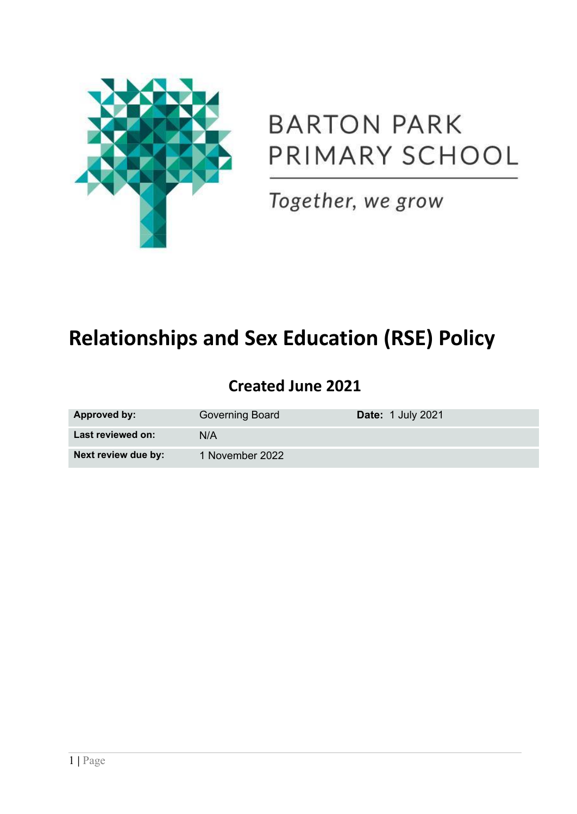

# **BARTON PARK** PRIMARY SCHOOL

Together, we grow

## **Relationships and Sex Education (RSE) Policy**

## **Created June 2021**

| Approved by:        | Governing Board | <b>Date: 1 July 2021</b> |
|---------------------|-----------------|--------------------------|
| Last reviewed on:   | N/A             |                          |
| Next review due by: | 1 November 2022 |                          |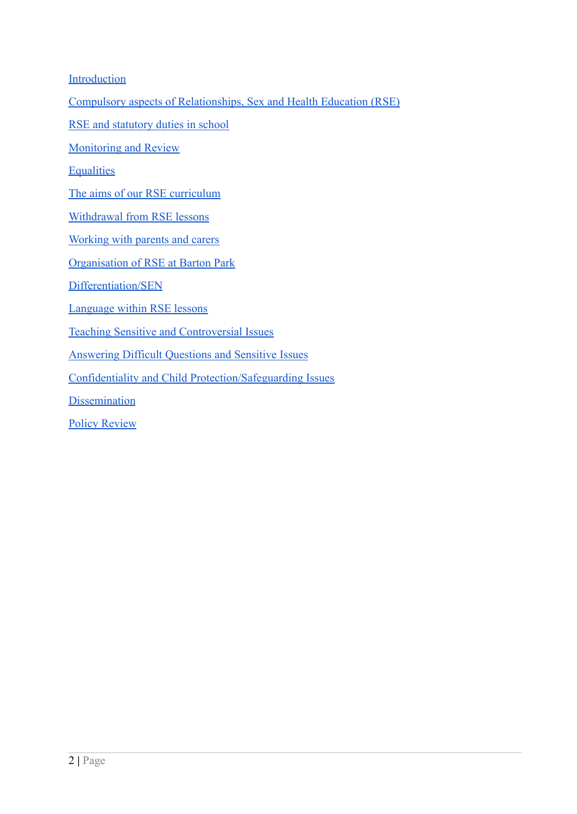**[Introduction](#page-2-0)** 

[Compulsory aspects of Relationships, Sex and Health Education \(RSE\)](#page-2-1)

[RSE and statutory duties in school](#page-2-2)

[Monitoring and Review](#page-3-0)

**[Equalities](#page-4-0)** 

[The aims of our RSE curriculum](#page-4-1)

[Withdrawal from RSE lessons](#page-7-0)

[Working with parents and carers](#page-7-1)

[Organisation of RSE at Barton Park](#page-8-0)

[Differentiation/SEN](#page-8-1)

[Language within RSE lessons](#page-8-2)

[Teaching Sensitive and Controversial Issues](#page-8-3)

[Answering Difficult Questions and Sensitive Issues](#page-9-0)

[Confidentiality and Child Protection/Safeguarding Issues](#page-9-1)

**[Dissemination](#page-9-2)** 

[Policy Review](#page-9-3)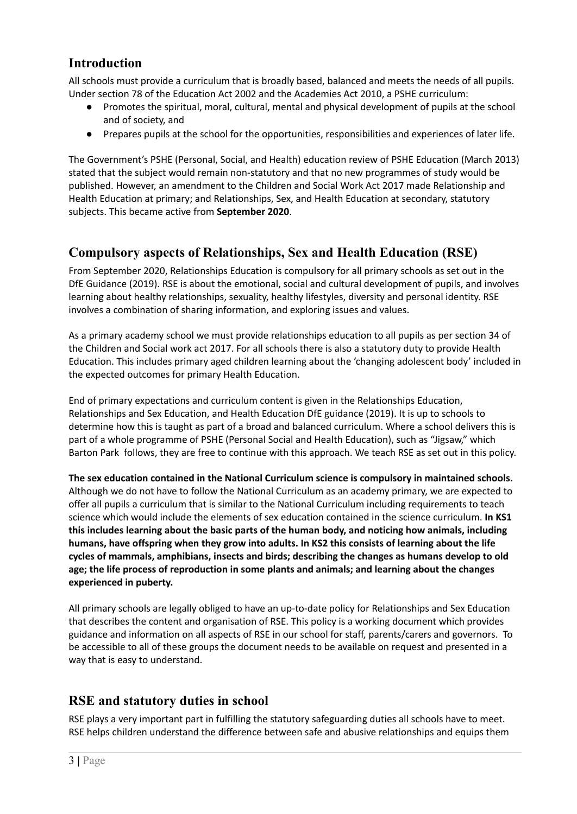## <span id="page-2-0"></span>**Introduction**

All schools must provide a curriculum that is broadly based, balanced and meets the needs of all pupils. Under section 78 of the Education Act 2002 and the Academies Act 2010, a PSHE curriculum:

- Promotes the spiritual, moral, cultural, mental and physical development of pupils at the school and of society, and
- Prepares pupils at the school for the opportunities, responsibilities and experiences of later life.

The Government's PSHE (Personal, Social, and Health) education review of PSHE Education (March 2013) stated that the subject would remain non-statutory and that no new programmes of study would be published. However, an amendment to the Children and Social Work Act 2017 made Relationship and Health Education at primary; and Relationships, Sex, and Health Education at secondary, statutory subjects. This became active from **September 2020**.

## <span id="page-2-1"></span>**Compulsory aspects of Relationships, Sex and Health Education (RSE)**

From September 2020, Relationships Education is compulsory for all primary schools as set out in the DfE Guidance (2019). RSE is about the emotional, social and cultural development of pupils, and involves learning about healthy relationships, sexuality, healthy lifestyles, diversity and personal identity. RSE involves a combination of sharing information, and exploring issues and values.

As a primary academy school we must provide relationships education to all pupils as per section 34 of the Children and Social work act 2017. For all schools there is also a statutory duty to provide Health Education. This includes primary aged children learning about the 'changing adolescent body' included in the expected outcomes for primary Health Education.

End of primary expectations and curriculum content is given in the Relationships Education, Relationships and Sex Education, and Health Education DfE guidance (2019). It is up to schools to determine how this is taught as part of a broad and balanced curriculum. Where a school delivers this is part of a whole programme of PSHE (Personal Social and Health Education), such as "Jigsaw," which Barton Park follows, they are free to continue with this approach. We teach RSE as set out in this policy.

**The sex education contained in the National Curriculum science is compulsory in maintained schools.** Although we do not have to follow the National Curriculum as an academy primary, we are expected to offer all pupils a curriculum that is similar to the National Curriculum including requirements to teach science which would include the elements of sex education contained in the science curriculum. **In KS1 this includes learning about the basic parts of the human body, and noticing how animals, including humans, have offspring when they grow into adults. In KS2 this consists of learning about the life cycles of mammals, amphibians, insects and birds; describing the changes as humans develop to old age; the life process of reproduction in some plants and animals; and learning about the changes experienced in puberty.**

All primary schools are legally obliged to have an up-to-date policy for Relationships and Sex Education that describes the content and organisation of RSE. This policy is a working document which provides guidance and information on all aspects of RSE in our school for staff, parents/carers and governors. To be accessible to all of these groups the document needs to be available on request and presented in a way that is easy to understand.

## <span id="page-2-2"></span>**RSE and statutory duties in school**

RSE plays a very important part in fulfilling the statutory safeguarding duties all schools have to meet. RSE helps children understand the difference between safe and abusive relationships and equips them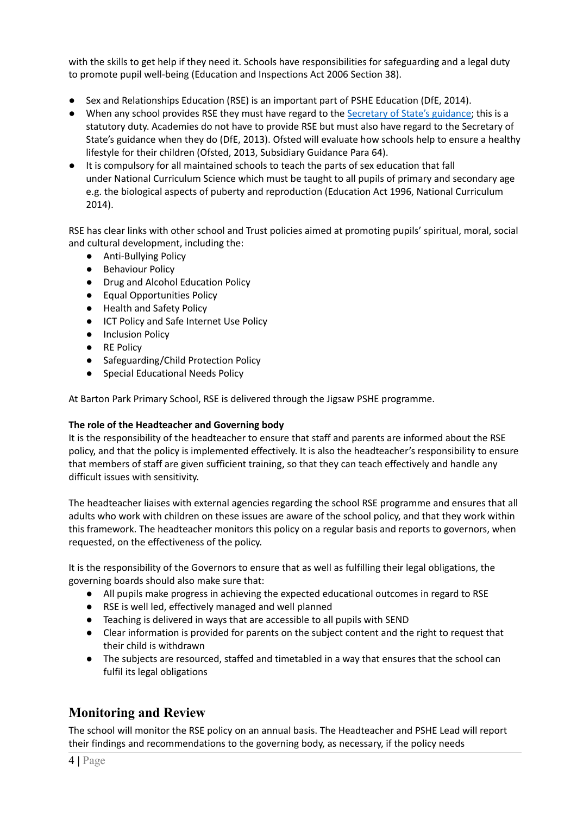with the skills to get help if they need it. Schools have responsibilities for safeguarding and a legal duty to promote pupil well-being (Education and Inspections Act 2006 Section 38).

- Sex and Relationships Education (RSE) is an important part of PSHE Education (DfE, 2014).
- When any school provides RSE they must have regard to the [Secretary](http://webarchive.nationalarchives.gov.uk/20130401151715/https:/www.education.gov.uk/publications/eOrderingDownload/DfES-0116-2000%20SRE.pdf) of State's guidance; this is a statutory duty. Academies do not have to provide RSE but must also have regard to the Secretary of State's guidance when they do (DfE, 2013). Ofsted will evaluate how schools help to ensure a healthy lifestyle for their children (Ofsted, 2013, Subsidiary Guidance Para 64).
- It is compulsory for all maintained schools to teach the parts of sex education that fall under National Curriculum Science which must be taught to all pupils of primary and secondary age e.g. the biological aspects of puberty and reproduction (Education Act 1996, National Curriculum 2014).

RSE has clear links with other school and Trust policies aimed at promoting pupils' spiritual, moral, social and cultural development, including the:

- Anti-Bullying Policy
- Behaviour Policy
- Drug and Alcohol Education Policy
- Equal Opportunities Policy
- Health and Safety Policy
- ICT Policy and Safe Internet Use Policy
- Inclusion Policy
- RE Policy
- Safeguarding/Child Protection Policy
- Special Educational Needs Policy

At Barton Park Primary School, RSE is delivered through the Jigsaw PSHE programme.

#### **The role of the Headteacher and Governing body**

It is the responsibility of the headteacher to ensure that staff and parents are informed about the RSE policy, and that the policy is implemented effectively. It is also the headteacher's responsibility to ensure that members of staff are given sufficient training, so that they can teach effectively and handle any difficult issues with sensitivity.

The headteacher liaises with external agencies regarding the school RSE programme and ensures that all adults who work with children on these issues are aware of the school policy, and that they work within this framework. The headteacher monitors this policy on a regular basis and reports to governors, when requested, on the effectiveness of the policy.

It is the responsibility of the Governors to ensure that as well as fulfilling their legal obligations, the governing boards should also make sure that:

- All pupils make progress in achieving the expected educational outcomes in regard to RSE
- RSE is well led, effectively managed and well planned
- Teaching is delivered in ways that are accessible to all pupils with SEND
- Clear information is provided for parents on the subject content and the right to request that their child is withdrawn
- The subjects are resourced, staffed and timetabled in a way that ensures that the school can fulfil its legal obligations

## <span id="page-3-0"></span>**Monitoring and Review**

The school will monitor the RSE policy on an annual basis. The Headteacher and PSHE Lead will report their findings and recommendations to the governing body, as necessary, if the policy needs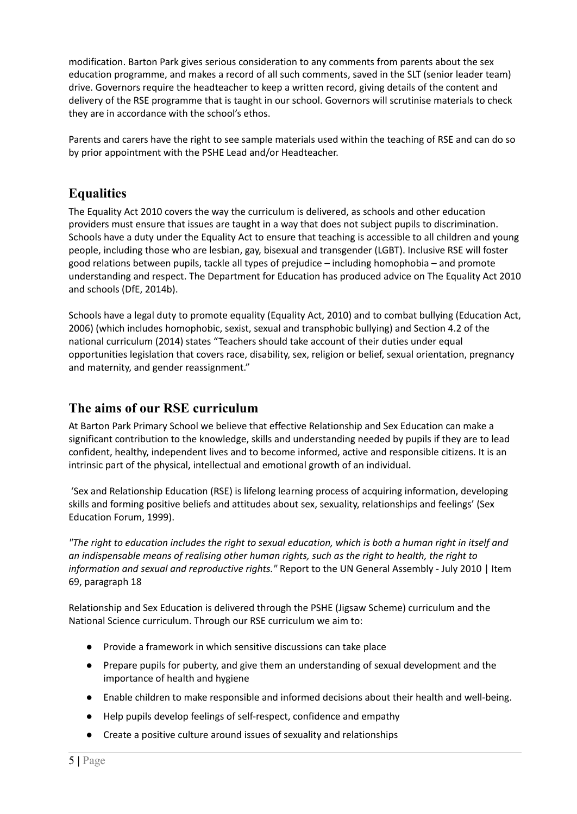modification. Barton Park gives serious consideration to any comments from parents about the sex education programme, and makes a record of all such comments, saved in the SLT (senior leader team) drive. Governors require the headteacher to keep a written record, giving details of the content and delivery of the RSE programme that is taught in our school. Governors will scrutinise materials to check they are in accordance with the school's ethos.

Parents and carers have the right to see sample materials used within the teaching of RSE and can do so by prior appointment with the PSHE Lead and/or Headteacher.

## <span id="page-4-0"></span>**Equalities**

The Equality Act 2010 covers the way the curriculum is delivered, as schools and other education providers must ensure that issues are taught in a way that does not subject pupils to discrimination. Schools have a duty under the Equality Act to ensure that teaching is accessible to all children and young people, including those who are lesbian, gay, bisexual and transgender (LGBT). Inclusive RSE will foster good relations between pupils, tackle all types of prejudice – including homophobia – and promote understanding and respect. The Department for Education has produced advice on The Equality Act 2010 and schools (DfE, 2014b).

Schools have a legal duty to promote equality (Equality Act, 2010) and to combat bullying (Education Act, 2006) (which includes homophobic, sexist, sexual and transphobic bullying) and Section 4.2 of the national curriculum (2014) states "Teachers should take account of their duties under equal opportunities legislation that covers race, disability, sex, religion or belief, sexual orientation, pregnancy and maternity, and gender reassignment."

## <span id="page-4-1"></span>**The aims of our RSE curriculum**

At Barton Park Primary School we believe that effective Relationship and Sex Education can make a significant contribution to the knowledge, skills and understanding needed by pupils if they are to lead confident, healthy, independent lives and to become informed, active and responsible citizens. It is an intrinsic part of the physical, intellectual and emotional growth of an individual.

'Sex and Relationship Education (RSE) is lifelong learning process of acquiring information, developing skills and forming positive beliefs and attitudes about sex, sexuality, relationships and feelings' (Sex Education Forum, 1999).

"The right to education includes the right to sexual education, which is both a human right in itself and *an indispensable means of realising other human rights, such as the right to health, the right to information and sexual and reproductive rights."* Report to the UN General Assembly - July 2010 | Item 69, paragraph 18

Relationship and Sex Education is delivered through the PSHE (Jigsaw Scheme) curriculum and the National Science curriculum. Through our RSE curriculum we aim to:

- Provide a framework in which sensitive discussions can take place
- Prepare pupils for puberty, and give them an understanding of sexual development and the importance of health and hygiene
- Enable children to make responsible and informed decisions about their health and well-being.
- Help pupils develop feelings of self-respect, confidence and empathy
- Create a positive culture around issues of sexuality and relationships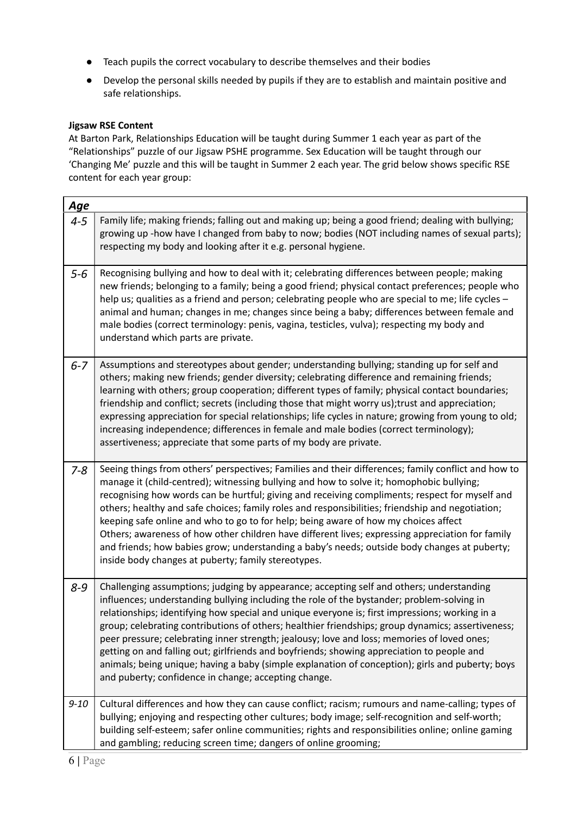- Teach pupils the correct vocabulary to describe themselves and their bodies
- Develop the personal skills needed by pupils if they are to establish and maintain positive and safe relationships.

#### **Jigsaw RSE Content**

At Barton Park, Relationships Education will be taught during Summer 1 each year as part of the "Relationships" puzzle of our Jigsaw PSHE programme. Sex Education will be taught through our 'Changing Me' puzzle and this will be taught in Summer 2 each year. The grid below shows specific RSE content for each year group:

| <u>Age</u> |                                                                                                                                                                                                                                                                                                                                                                                                                                                                                                                                                                                                                                                                                                                                                         |
|------------|---------------------------------------------------------------------------------------------------------------------------------------------------------------------------------------------------------------------------------------------------------------------------------------------------------------------------------------------------------------------------------------------------------------------------------------------------------------------------------------------------------------------------------------------------------------------------------------------------------------------------------------------------------------------------------------------------------------------------------------------------------|
| $4 - 5$    | Family life; making friends; falling out and making up; being a good friend; dealing with bullying;<br>growing up -how have I changed from baby to now; bodies (NOT including names of sexual parts);<br>respecting my body and looking after it e.g. personal hygiene.                                                                                                                                                                                                                                                                                                                                                                                                                                                                                 |
| $5 - 6$    | Recognising bullying and how to deal with it; celebrating differences between people; making<br>new friends; belonging to a family; being a good friend; physical contact preferences; people who<br>help us; qualities as a friend and person; celebrating people who are special to me; life cycles -<br>animal and human; changes in me; changes since being a baby; differences between female and<br>male bodies (correct terminology: penis, vagina, testicles, vulva); respecting my body and<br>understand which parts are private.                                                                                                                                                                                                             |
| $6 - 7$    | Assumptions and stereotypes about gender; understanding bullying; standing up for self and<br>others; making new friends; gender diversity; celebrating difference and remaining friends;<br>learning with others; group cooperation; different types of family; physical contact boundaries;<br>friendship and conflict; secrets (including those that might worry us); trust and appreciation;<br>expressing appreciation for special relationships; life cycles in nature; growing from young to old;<br>increasing independence; differences in female and male bodies (correct terminology);<br>assertiveness; appreciate that some parts of my body are private.                                                                                  |
| $7 - 8$    | Seeing things from others' perspectives; Families and their differences; family conflict and how to<br>manage it (child-centred); witnessing bullying and how to solve it; homophobic bullying;<br>recognising how words can be hurtful; giving and receiving compliments; respect for myself and<br>others; healthy and safe choices; family roles and responsibilities; friendship and negotiation;<br>keeping safe online and who to go to for help; being aware of how my choices affect<br>Others; awareness of how other children have different lives; expressing appreciation for family<br>and friends; how babies grow; understanding a baby's needs; outside body changes at puberty;<br>inside body changes at puberty; family stereotypes. |
| $8 - 9$    | Challenging assumptions; judging by appearance; accepting self and others; understanding<br>influences; understanding bullying including the role of the bystander; problem-solving in<br>relationships; identifying how special and unique everyone is; first impressions; working in a<br>group; celebrating contributions of others; healthier friendships; group dynamics; assertiveness;<br>peer pressure; celebrating inner strength; jealousy; love and loss; memories of loved ones;<br>getting on and falling out; girlfriends and boyfriends; showing appreciation to people and<br>animals; being unique; having a baby (simple explanation of conception); girls and puberty; boys<br>and puberty; confidence in change; accepting change.  |
| $9 - 10$   | Cultural differences and how they can cause conflict; racism; rumours and name-calling; types of<br>bullying; enjoying and respecting other cultures; body image; self-recognition and self-worth;<br>building self-esteem; safer online communities; rights and responsibilities online; online gaming<br>and gambling; reducing screen time; dangers of online grooming;                                                                                                                                                                                                                                                                                                                                                                              |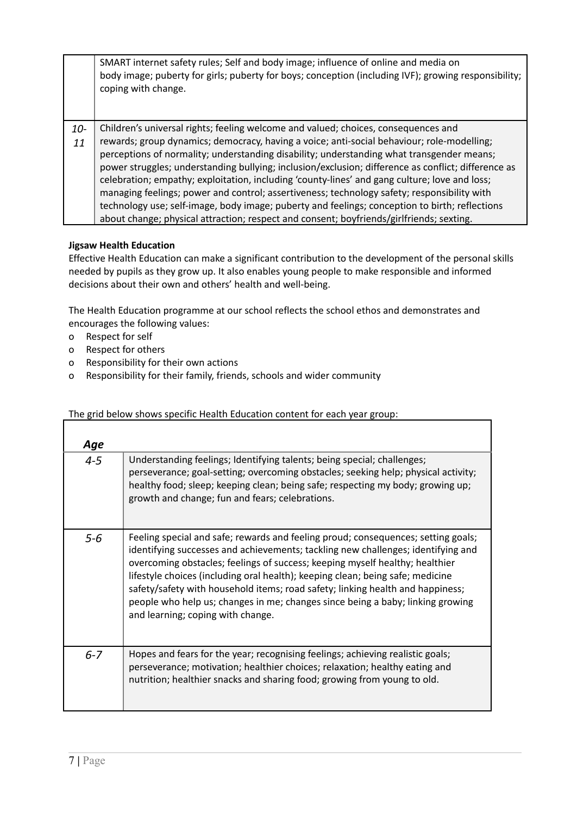|              | SMART internet safety rules; Self and body image; influence of online and media on<br>body image; puberty for girls; puberty for boys; conception (including IVF); growing responsibility;<br>coping with change.                                                                                                                                                                                                                                                                                                                                                                                                                                                                                                                                                                  |
|--------------|------------------------------------------------------------------------------------------------------------------------------------------------------------------------------------------------------------------------------------------------------------------------------------------------------------------------------------------------------------------------------------------------------------------------------------------------------------------------------------------------------------------------------------------------------------------------------------------------------------------------------------------------------------------------------------------------------------------------------------------------------------------------------------|
| $10 -$<br>11 | Children's universal rights; feeling welcome and valued; choices, consequences and<br>rewards; group dynamics; democracy, having a voice; anti-social behaviour; role-modelling;<br>perceptions of normality; understanding disability; understanding what transgender means;<br>power struggles; understanding bullying; inclusion/exclusion; difference as conflict; difference as<br>celebration; empathy; exploitation, including 'county-lines' and gang culture; love and loss;<br>managing feelings; power and control; assertiveness; technology safety; responsibility with<br>technology use; self-image, body image; puberty and feelings; conception to birth; reflections<br>about change; physical attraction; respect and consent; boyfriends/girlfriends; sexting. |

#### **Jigsaw Health Education**

Effective Health Education can make a significant contribution to the development of the personal skills needed by pupils as they grow up. It also enables young people to make responsible and informed decisions about their own and others' health and well-being.

The Health Education programme at our school reflects the school ethos and demonstrates and encourages the following values:

- o Respect for self
- o Respect for others
- o Responsibility for their own actions
- o Responsibility for their family, friends, schools and wider community

#### The grid below shows specific Health Education content for each year group:

| Age     |                                                                                                                                                                                                                                                                                                                                                                                                                                                                                                                                                  |
|---------|--------------------------------------------------------------------------------------------------------------------------------------------------------------------------------------------------------------------------------------------------------------------------------------------------------------------------------------------------------------------------------------------------------------------------------------------------------------------------------------------------------------------------------------------------|
| $4 - 5$ | Understanding feelings; Identifying talents; being special; challenges;<br>perseverance; goal-setting; overcoming obstacles; seeking help; physical activity;<br>healthy food; sleep; keeping clean; being safe; respecting my body; growing up;<br>growth and change; fun and fears; celebrations.                                                                                                                                                                                                                                              |
| $5 - 6$ | Feeling special and safe; rewards and feeling proud; consequences; setting goals;<br>identifying successes and achievements; tackling new challenges; identifying and<br>overcoming obstacles; feelings of success; keeping myself healthy; healthier<br>lifestyle choices (including oral health); keeping clean; being safe; medicine<br>safety/safety with household items; road safety; linking health and happiness;<br>people who help us; changes in me; changes since being a baby; linking growing<br>and learning; coping with change. |
| $6 - 7$ | Hopes and fears for the year; recognising feelings; achieving realistic goals;<br>perseverance; motivation; healthier choices; relaxation; healthy eating and<br>nutrition; healthier snacks and sharing food; growing from young to old.                                                                                                                                                                                                                                                                                                        |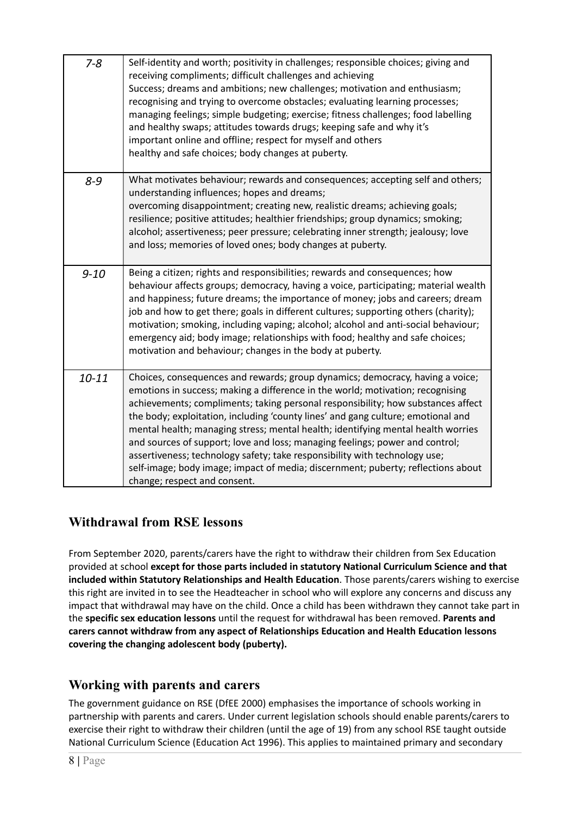| $7 - 8$   | Self-identity and worth; positivity in challenges; responsible choices; giving and<br>receiving compliments; difficult challenges and achieving<br>Success; dreams and ambitions; new challenges; motivation and enthusiasm;<br>recognising and trying to overcome obstacles; evaluating learning processes;<br>managing feelings; simple budgeting; exercise; fitness challenges; food labelling<br>and healthy swaps; attitudes towards drugs; keeping safe and why it's<br>important online and offline; respect for myself and others<br>healthy and safe choices; body changes at puberty.                                                                                                               |
|-----------|---------------------------------------------------------------------------------------------------------------------------------------------------------------------------------------------------------------------------------------------------------------------------------------------------------------------------------------------------------------------------------------------------------------------------------------------------------------------------------------------------------------------------------------------------------------------------------------------------------------------------------------------------------------------------------------------------------------|
| $8 - 9$   | What motivates behaviour; rewards and consequences; accepting self and others;<br>understanding influences; hopes and dreams;<br>overcoming disappointment; creating new, realistic dreams; achieving goals;<br>resilience; positive attitudes; healthier friendships; group dynamics; smoking;<br>alcohol; assertiveness; peer pressure; celebrating inner strength; jealousy; love<br>and loss; memories of loved ones; body changes at puberty.                                                                                                                                                                                                                                                            |
| $9 - 10$  | Being a citizen; rights and responsibilities; rewards and consequences; how<br>behaviour affects groups; democracy, having a voice, participating; material wealth<br>and happiness; future dreams; the importance of money; jobs and careers; dream<br>job and how to get there; goals in different cultures; supporting others (charity);<br>motivation; smoking, including vaping; alcohol; alcohol and anti-social behaviour;<br>emergency aid; body image; relationships with food; healthy and safe choices;<br>motivation and behaviour; changes in the body at puberty.                                                                                                                               |
| $10 - 11$ | Choices, consequences and rewards; group dynamics; democracy, having a voice;<br>emotions in success; making a difference in the world; motivation; recognising<br>achievements; compliments; taking personal responsibility; how substances affect<br>the body; exploitation, including 'county lines' and gang culture; emotional and<br>mental health; managing stress; mental health; identifying mental health worries<br>and sources of support; love and loss; managing feelings; power and control;<br>assertiveness; technology safety; take responsibility with technology use;<br>self-image; body image; impact of media; discernment; puberty; reflections about<br>change; respect and consent. |

## <span id="page-7-0"></span>**Withdrawal from RSE lessons**

From September 2020, parents/carers have the right to withdraw their children from Sex Education provided at school **except for those parts included in statutory National Curriculum Science and that included within Statutory Relationships and Health Education**. Those parents/carers wishing to exercise this right are invited in to see the Headteacher in school who will explore any concerns and discuss any impact that withdrawal may have on the child. Once a child has been withdrawn they cannot take part in the **specific sex education lessons** until the request for withdrawal has been removed. **Parents and carers cannot withdraw from any aspect of Relationships Education and Health Education lessons covering the changing adolescent body (puberty).**

## <span id="page-7-1"></span>**Working with parents and carers**

The government guidance on RSE (DfEE 2000) emphasises the importance of schools working in partnership with parents and carers. Under current legislation schools should enable parents/carers to exercise their right to withdraw their children (until the age of 19) from any school RSE taught outside National Curriculum Science (Education Act 1996). This applies to maintained primary and secondary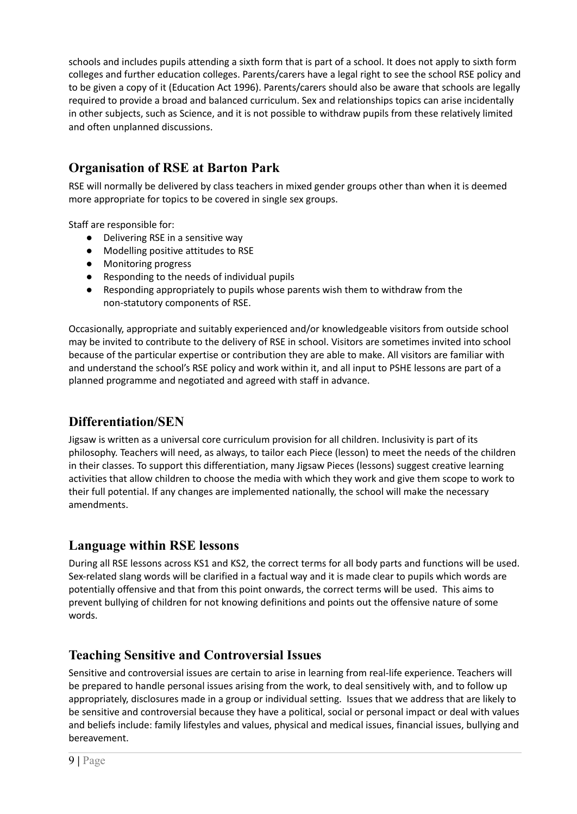schools and includes pupils attending a sixth form that is part of a school. It does not apply to sixth form colleges and further education colleges. Parents/carers have a legal right to see the school RSE policy and to be given a copy of it (Education Act 1996). Parents/carers should also be aware that schools are legally required to provide a broad and balanced curriculum. Sex and relationships topics can arise incidentally in other subjects, such as Science, and it is not possible to withdraw pupils from these relatively limited and often unplanned discussions.

## <span id="page-8-0"></span>**Organisation of RSE at Barton Park**

RSE will normally be delivered by class teachers in mixed gender groups other than when it is deemed more appropriate for topics to be covered in single sex groups.

Staff are responsible for:

- Delivering RSE in a sensitive way
- Modelling positive attitudes to RSE
- Monitoring progress
- Responding to the needs of individual pupils
- Responding appropriately to pupils whose parents wish them to withdraw from the non-statutory components of RSE.

Occasionally, appropriate and suitably experienced and/or knowledgeable visitors from outside school may be invited to contribute to the delivery of RSE in school. Visitors are sometimes invited into school because of the particular expertise or contribution they are able to make. All visitors are familiar with and understand the school's RSE policy and work within it, and all input to PSHE lessons are part of a planned programme and negotiated and agreed with staff in advance.

## <span id="page-8-1"></span>**Differentiation/SEN**

Jigsaw is written as a universal core curriculum provision for all children. Inclusivity is part of its philosophy. Teachers will need, as always, to tailor each Piece (lesson) to meet the needs of the children in their classes. To support this differentiation, many Jigsaw Pieces (lessons) suggest creative learning activities that allow children to choose the media with which they work and give them scope to work to their full potential. If any changes are implemented nationally, the school will make the necessary amendments.

## <span id="page-8-2"></span>**Language within RSE lessons**

During all RSE lessons across KS1 and KS2, the correct terms for all body parts and functions will be used. Sex-related slang words will be clarified in a factual way and it is made clear to pupils which words are potentially offensive and that from this point onwards, the correct terms will be used. This aims to prevent bullying of children for not knowing definitions and points out the offensive nature of some words.

## <span id="page-8-3"></span>**Teaching Sensitive and Controversial Issues**

Sensitive and controversial issues are certain to arise in learning from real-life experience. Teachers will be prepared to handle personal issues arising from the work, to deal sensitively with, and to follow up appropriately, disclosures made in a group or individual setting. Issues that we address that are likely to be sensitive and controversial because they have a political, social or personal impact or deal with values and beliefs include: family lifestyles and values, physical and medical issues, financial issues, bullying and bereavement.